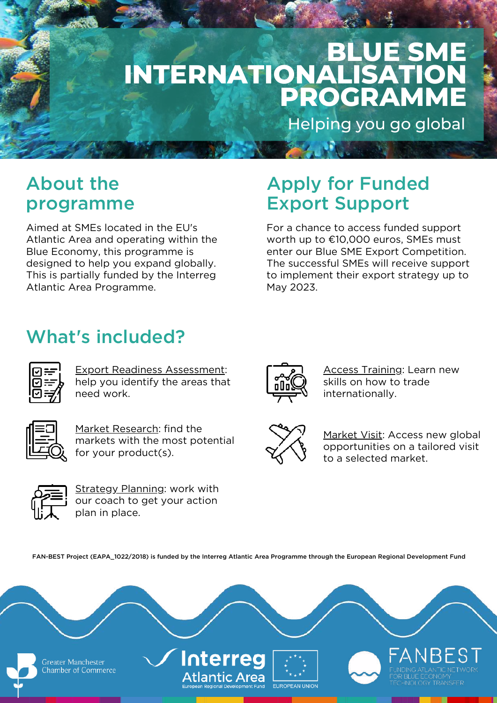# **BLUE SME INTERNATIONALISATION PROGRAMME**

Helping you go global

#### About the programme

Aimed at SMEs located in the EU's Atlantic Area and operating within the Blue Economy, this programme is designed to help you expand globally. This is partially funded by the Interreg Atlantic Area Programme.

#### Apply for Funded Export Support

For a chance to access funded support worth up to €10,000 euros, SMEs must enter our Blue SME Export Competition. The successful SMEs will receive support to implement their export strategy up to May 2023.

## What's included?



Export Readiness Assessment: help you identify the areas that need work.



Market Research: find the markets with the most potential for your product(s).



Strategy Planning: work with our coach to get your action plan in place.



**Access Training: Learn new** skills on how to trade internationally.



Market Visit: Access new global opportunities on a tailored visit to a selected market.

FAN-BEST Project (EAPA\_1022/2018) is funded by the Interreg Atlantic Area Programme through the European Regional Development Fund